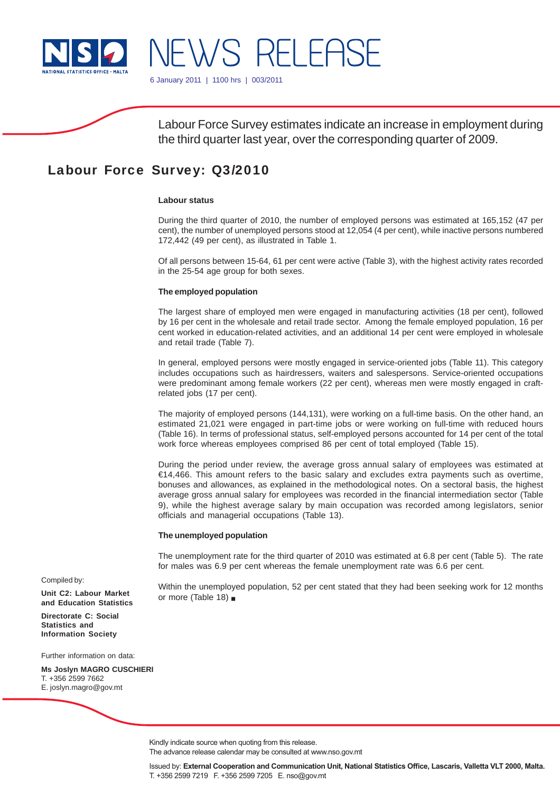

6 January 2011 | 1100 hrs | 003/2011

NEWS RELEASE

Labour Force Survey estimates indicate an increase in employment during the third quarter last year, over the corresponding quarter of 2009.

# Labour Force Survey: Q3/2010

### **Labour status**

During the third quarter of 2010, the number of employed persons was estimated at 165,152 (47 per cent), the number of unemployed persons stood at 12,054 (4 per cent), while inactive persons numbered 172,442 (49 per cent), as illustrated in Table 1.

Of all persons between 15-64, 61 per cent were active (Table 3), with the highest activity rates recorded in the 25-54 age group for both sexes.

#### **The employed population**

The largest share of employed men were engaged in manufacturing activities (18 per cent), followed by 16 per cent in the wholesale and retail trade sector. Among the female employed population, 16 per cent worked in education-related activities, and an additional 14 per cent were employed in wholesale and retail trade (Table 7).

In general, employed persons were mostly engaged in service-oriented jobs (Table 11). This category includes occupations such as hairdressers, waiters and salespersons. Service-oriented occupations were predominant among female workers (22 per cent), whereas men were mostly engaged in craftrelated jobs (17 per cent).

The majority of employed persons (144,131), were working on a full-time basis. On the other hand, an estimated 21,021 were engaged in part-time jobs or were working on full-time with reduced hours (Table 16). In terms of professional status, self-employed persons accounted for 14 per cent of the total work force whereas employees comprised 86 per cent of total employed (Table 15).

During the period under review, the average gross annual salary of employees was estimated at €14,466. This amount refers to the basic salary and excludes extra payments such as overtime, bonuses and allowances, as explained in the methodological notes. On a sectoral basis, the highest average gross annual salary for employees was recorded in the financial intermediation sector (Table 9), while the highest average salary by main occupation was recorded among legislators, senior officials and managerial occupations (Table 13).

#### **The unemployed population**

The unemployment rate for the third quarter of 2010 was estimated at 6.8 per cent (Table 5). The rate for males was 6.9 per cent whereas the female unemployment rate was 6.6 per cent.

Within the unemployed population, 52 per cent stated that they had been seeking work for 12 months or more (Table 18)

Compiled by:

**Unit C2: Labour Market and Education Statistics**

**Directorate C: Social Statistics and Information Society**

Further information on data:

**Ms Joslyn MAGRO CUSCHIERI** T. +356 2599 7662 E. joslyn.magro@gov.mt

Kindly indicate source when quoting from this release.

The advance release calendar may be consulted at www.nso.gov.mt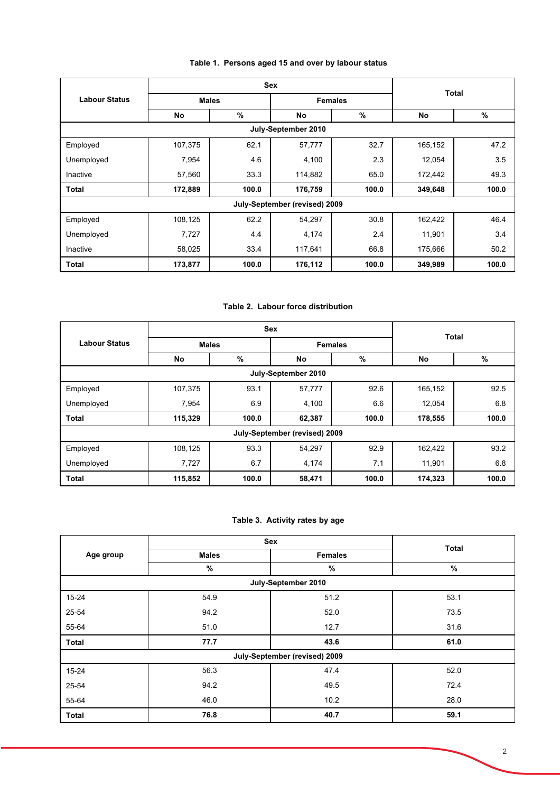| Table 1. Persons aged 15 and over by labour status |  |
|----------------------------------------------------|--|
|----------------------------------------------------|--|

|                      |         | <b>Sex</b>   |                               |                |         |              |  |  |
|----------------------|---------|--------------|-------------------------------|----------------|---------|--------------|--|--|
| <b>Labour Status</b> |         | <b>Males</b> |                               | <b>Females</b> |         | <b>Total</b> |  |  |
|                      | No      | $\%$         | No                            | %              | No      | %            |  |  |
|                      |         |              | July-September 2010           |                |         |              |  |  |
| Employed             | 107,375 | 62.1         | 57,777                        | 32.7           | 165,152 | 47.2         |  |  |
| Unemployed           | 7,954   | 4.6          | 4,100                         | 2.3            | 12,054  | 3.5          |  |  |
| Inactive             | 57,560  | 33.3         | 114,882                       | 65.0           | 172,442 | 49.3         |  |  |
| <b>Total</b>         | 172,889 | 100.0        | 176,759                       | 100.0          | 349,648 | 100.0        |  |  |
|                      |         |              | July-September (revised) 2009 |                |         |              |  |  |
| Employed             | 108,125 | 62.2         | 54,297                        | 30.8           | 162,422 | 46.4         |  |  |
| Unemployed           | 7,727   | 4.4          | 4,174                         | 2.4            | 11,901  | 3.4          |  |  |
| Inactive             | 58,025  | 33.4         | 117,641                       | 66.8           | 175,666 | 50.2         |  |  |
| Total                | 173,877 | 100.0        | 176,112                       | 100.0          | 349,989 | 100.0        |  |  |

# **Table 2. Labour force distribution**

|                      |              |       | <b>Sex</b>                    |                | <b>Total</b> |       |  |  |  |  |
|----------------------|--------------|-------|-------------------------------|----------------|--------------|-------|--|--|--|--|
| <b>Labour Status</b> | <b>Males</b> |       |                               | <b>Females</b> |              |       |  |  |  |  |
|                      | No           | $\%$  | No                            | %              | No           | %     |  |  |  |  |
| July-September 2010  |              |       |                               |                |              |       |  |  |  |  |
| Employed             | 107,375      | 93.1  | 57,777                        | 92.6           | 165,152      | 92.5  |  |  |  |  |
| Unemployed           | 7,954        | 6.9   | 4,100                         | 6.6            | 12,054       | 6.8   |  |  |  |  |
| <b>Total</b>         | 115,329      | 100.0 | 62,387                        | 100.0          | 178,555      | 100.0 |  |  |  |  |
|                      |              |       | July-September (revised) 2009 |                |              |       |  |  |  |  |
| Employed             | 108,125      | 93.3  | 54,297                        | 92.9           | 162,422      | 93.2  |  |  |  |  |
| Unemployed           | 7,727        | 6.7   | 4,174                         | 7.1            | 11,901       | 6.8   |  |  |  |  |
| <b>Total</b>         | 115,852      | 100.0 | 58,471                        | 100.0          | 174,323      | 100.0 |  |  |  |  |

# **Table 3. Activity rates by age**

|              | Sex          |                               |              |
|--------------|--------------|-------------------------------|--------------|
| Age group    | <b>Males</b> | <b>Females</b>                | <b>Total</b> |
|              | %            | $\%$                          | %            |
|              |              | July-September 2010           |              |
| $15 - 24$    | 54.9         | 51.2                          | 53.1         |
| 25-54        | 94.2         | 52.0                          | 73.5         |
| 55-64        | 51.0         | 12.7                          | 31.6         |
| <b>Total</b> | 77.7         | 43.6                          | 61.0         |
|              |              | July-September (revised) 2009 |              |
| $15 - 24$    | 56.3         | 47.4                          | 52.0         |
| 25-54        | 94.2         | 49.5                          | 72.4         |
| 55-64        | 46.0         | 10.2                          | 28.0         |
| <b>Total</b> | 76.8         | 40.7                          | 59.1         |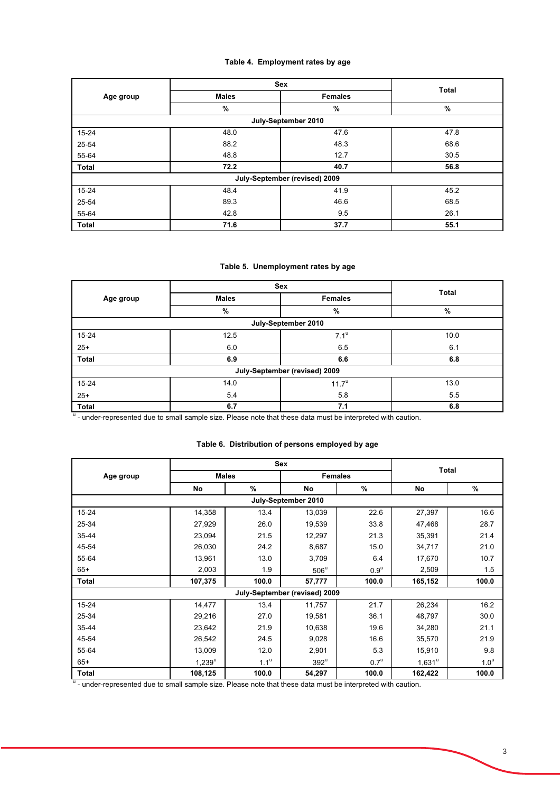# **Table 4. Employment rates by age**

|              |              | Sex                           | <b>Total</b> |
|--------------|--------------|-------------------------------|--------------|
| Age group    | <b>Males</b> | <b>Females</b>                |              |
|              | %            | %                             | %            |
|              |              | July-September 2010           |              |
| 15-24        | 48.0         | 47.6                          | 47.8         |
| 25-54        | 88.2         | 48.3                          | 68.6         |
| 55-64        | 48.8         | 12.7                          | 30.5         |
| Total        | 72.2         | 40.7                          | 56.8         |
|              |              | July-September (revised) 2009 |              |
| 15-24        | 48.4         | 41.9                          | 45.2         |
| 25-54        | 89.3         | 46.6                          | 68.5         |
| 55-64        | 42.8         | 9.5                           | 26.1         |
| <b>Total</b> | 71.6         | 37.7                          | 55.1         |

# **Table 5. Unemployment rates by age**

|            | Sex                 | Total                         |      |  |  |  |  |  |  |  |
|------------|---------------------|-------------------------------|------|--|--|--|--|--|--|--|
| Age group  | <b>Males</b>        | <b>Females</b>                |      |  |  |  |  |  |  |  |
|            | %                   | %                             | %    |  |  |  |  |  |  |  |
|            | July-September 2010 |                               |      |  |  |  |  |  |  |  |
| $15 - 24$  | 12.5                | $7.1^{\mathrm{u}}$            | 10.0 |  |  |  |  |  |  |  |
| $25+$      | 6.0                 | 6.5                           | 6.1  |  |  |  |  |  |  |  |
| Total      | 6.9                 | 6.6                           | 6.8  |  |  |  |  |  |  |  |
|            |                     | July-September (revised) 2009 |      |  |  |  |  |  |  |  |
| $15 - 24$  | 14.0                | $11.7^{\circ}$                | 13.0 |  |  |  |  |  |  |  |
| $25+$      | 5.4                 | 5.8                           | 5.5  |  |  |  |  |  |  |  |
| Total<br>. | 6.7                 | 7.1                           | 6.8  |  |  |  |  |  |  |  |

<sup>u</sup> - under-represented due to small sample size. Please note that these data must be interpreted with caution.

### **Table 6. Distribution of persons employed by age**

|              | <b>Sex</b> |                  |                               |                  |                 |                  |  |
|--------------|------------|------------------|-------------------------------|------------------|-----------------|------------------|--|
| Age group    |            | <b>Males</b>     |                               | <b>Females</b>   |                 | Total            |  |
|              | No         | $\%$             | No                            | %                | No              | %                |  |
|              |            |                  | July-September 2010           |                  |                 |                  |  |
| $15 - 24$    | 14,358     | 13.4             | 13,039                        | 22.6             | 27,397          | 16.6             |  |
| 25-34        | 27,929     | 26.0             | 19,539                        | 33.8             | 47,468          | 28.7             |  |
| 35-44        | 23,094     | 21.5             | 12,297                        | 21.3             | 35,391          | 21.4             |  |
| 45-54        | 26,030     | 24.2             | 8,687                         | 15.0             | 34,717          | 21.0             |  |
| 55-64        | 13,961     | 13.0             | 3,709                         | 6.4              | 17,670          | 10.7             |  |
| $65+$        | 2,003      | 1.9              | $506^{\circ}$                 | $0.9^{\text{u}}$ | 2,509           | 1.5              |  |
| <b>Total</b> | 107,375    | 100.0            | 57,777                        | 100.0            | 165,152         | 100.0            |  |
|              |            |                  | July-September (revised) 2009 |                  |                 |                  |  |
| $15 - 24$    | 14,477     | 13.4             | 11,757                        | 21.7             | 26,234          | 16.2             |  |
| 25-34        | 29,216     | 27.0             | 19,581                        | 36.1             | 48,797          | 30.0             |  |
| 35-44        | 23,642     | 21.9             | 10,638                        | 19.6             | 34,280          | 21.1             |  |
| 45-54        | 26,542     | 24.5             | 9,028                         | 16.6             | 35,570          | 21.9             |  |
| 55-64        | 13,009     | 12.0             | 2,901                         | 5.3              | 15,910          | 9.8              |  |
| $65+$        | $1,239^u$  | 1.1 <sup>u</sup> | $392^u$                       | $0.7^\mathrm{u}$ | $1,631^{\circ}$ | 1.0 <sup>u</sup> |  |
| <b>Total</b> | 108,125    | 100.0            | 54,297                        | 100.0            | 162,422         | 100.0            |  |

<sup>u</sup> - under-represented due to small sample size. Please note that these data must be interpreted with caution.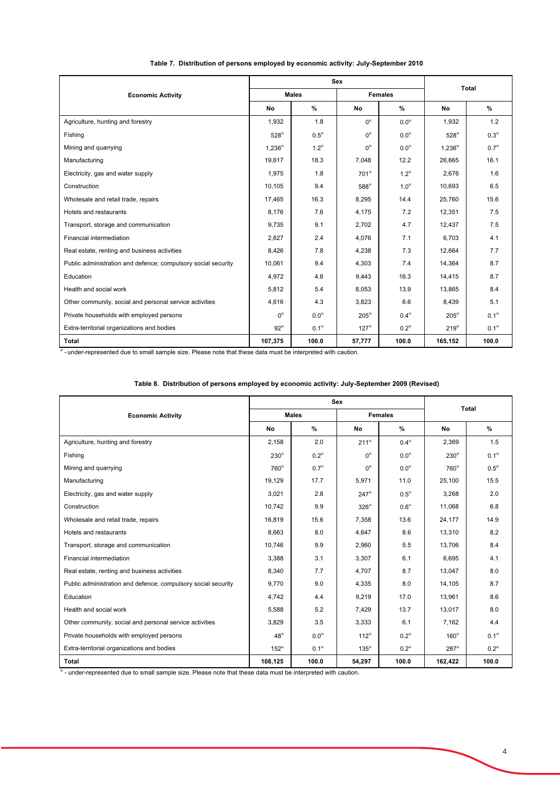|                                                               |                  | <b>Sex</b>         | <b>Total</b>       |                    |                    |                    |
|---------------------------------------------------------------|------------------|--------------------|--------------------|--------------------|--------------------|--------------------|
| <b>Economic Activity</b>                                      |                  | <b>Males</b>       |                    | <b>Females</b>     |                    |                    |
|                                                               | No               | $\%$               | No                 | $\%$               | No                 | %                  |
| Agriculture, hunting and forestry                             | 1,932            | 1.8                | $0^{\mathrm{u}}$   | 0.0 <sup>u</sup>   | 1,932              | 1.2                |
| Fishing                                                       | $528^{\circ}$    | $0.5^{\circ}$      | $0^{\mathrm{u}}$   | 0.0 <sup>u</sup>   | $528^u$            | $0.3^{\mathrm{u}}$ |
| Mining and quarrying                                          | $1,236^{\circ}$  | $1.2^{\mathrm{u}}$ | $0^{\mathrm{u}}$   | 0.0 <sup>u</sup>   | $1,236^u$          | $0.7^{\mathrm{u}}$ |
| Manufacturing                                                 | 19,617           | 18.3               | 7,048              | 12.2               | 26,665             | 16.1               |
| Electricity, gas and water supply                             | 1,975            | 1.8                | $701^{\mathrm{u}}$ | $1.2^{\mathrm{u}}$ | 2,676              | 1.6                |
| Construction                                                  | 10.105           | 9.4                | $588^{\mathrm{u}}$ | 1.0 <sup>u</sup>   | 10,693             | 6.5                |
| Wholesale and retail trade, repairs                           | 17,465           | 16.3               | 8,295              | 14.4               | 25,760             | 15.6               |
| Hotels and restaurants                                        | 8,176            | 7.6                | 4,175              | 7.2                | 12,351             | 7.5                |
| Transport, storage and communication                          | 9,735            | 9.1                | 2,702              | 4.7                | 12,437             | 7.5                |
| Financial intermediation                                      | 2,627            | 2.4                | 4.076              | 7.1                | 6.703              | 4.1                |
| Real estate, renting and business activities                  | 8,426            | 7.8                | 4,238              | 7.3                | 12,664             | 7.7                |
| Public administration and defence; compulsory social security | 10,061           | 9.4                | 4,303              | 7.4                | 14,364             | 8.7                |
| Education                                                     | 4,972            | 4.6                | 9,443              | 16.3               | 14,415             | 8.7                |
| Health and social work                                        | 5,812            | 5.4                | 8,053              | 13.9               | 13,865             | 8.4                |
| Other community, social and personal service activities       | 4,616            | 4.3                | 3,823              | 6.6                | 8,439              | 5.1                |
| Private households with employed persons                      | $0^{\mathrm{u}}$ | 0.0 <sup>u</sup>   | $205^{\mathrm{u}}$ | $0.4^\mathrm{u}$   | $205^{\mathrm{u}}$ | $0.1^{\mathrm{u}}$ |
| Extra-territorial organizations and bodies                    | $92^{\circ}$     | 0.1 <sup>u</sup>   | $127^{\mathrm{u}}$ | $0.2^{\mathrm{u}}$ | $219^{\circ}$      | 0.1 <sup>u</sup>   |
| <b>Total</b>                                                  | 107,375          | 100.0              | 57,777             | 100.0              | 165,152            | 100.0              |

### **Table 7. Distribution of persons employed by economic activity: July-September 2010**

<sup>u</sup> - under-represented due to small sample size. Please note that these data must be interpreted with caution.

### **Table 8. Distribution of persons employed by economic activity: July-September 2009 (Revised)**

|                                                               |                   | Sex                | Total              |                    |                    |                    |
|---------------------------------------------------------------|-------------------|--------------------|--------------------|--------------------|--------------------|--------------------|
| <b>Economic Activity</b>                                      |                   | <b>Males</b>       |                    | <b>Females</b>     |                    |                    |
|                                                               | No                | $\%$               | No                 | %                  | No                 | $\%$               |
| Agriculture, hunting and forestry                             | 2,158             | 2.0                | $211^u$            | $0.4^{\mathrm{u}}$ | 2,369              | 1.5                |
| Fishing                                                       | $230^u$           | $0.2^{\mathrm{u}}$ | $0^{\mathrm{u}}$   | $0.0^\mathrm{u}$   | $230^{\circ}$      | $0.1^\mathrm{u}$   |
| Mining and quarrying                                          | $760^{\circ}$     | $0.7^\mathrm{u}$   | $0^{\mathrm{u}}$   | $0.0^{\text{u}}$   | $760^u$            | $0.5^{\mathrm{u}}$ |
| Manufacturing                                                 | 19,129            | 17.7               | 5,971              | 11.0               | 25,100             | 15.5               |
| Electricity, gas and water supply                             | 3,021             | 2.8                | $247^{\mathrm{u}}$ | $0.5^{\mathrm{u}}$ | 3,268              | 2.0                |
| Construction                                                  | 10,742            | 9.9                | $326^u$            | $0.6^{\circ}$      | 11,068             | 6.8                |
| Wholesale and retail trade, repairs                           | 16,819            | 15.6               | 7,358              | 13.6               | 24,177             | 14.9               |
| Hotels and restaurants                                        | 8,663             | 8.0                | 4,647              | 8.6                | 13,310             | 8.2                |
| Transport, storage and communication                          | 10,746            | 9.9                | 2,960              | 5.5                | 13,706             | 8.4                |
| Financial intermediation                                      | 3,388             | 3.1                | 3,307              | 6.1                | 6,695              | 4.1                |
| Real estate, renting and business activities                  | 8,340             | 7.7                | 4,707              | 8.7                | 13,047             | 8.0                |
| Public administration and defence; compulsory social security | 9,770             | 9.0                | 4,335              | 8.0                | 14,105             | 8.7                |
| Education                                                     | 4,742             | 4.4                | 9,219              | 17.0               | 13,961             | 8.6                |
| Health and social work                                        | 5,588             | 5.2                | 7,429              | 13.7               | 13,017             | 8.0                |
| Other community, social and personal service activities       | 3,829             | 3.5                | 3,333              | 6.1                | 7,162              | 4.4                |
| Private households with employed persons                      | $48^{\mathrm{u}}$ | 0.0 <sup>u</sup>   | $112^u$            | $0.2^{\mathrm{u}}$ | $160^u$            | 0.1 <sup>u</sup>   |
| Extra-territorial organizations and bodies                    | $152^u$           | 0.1 <sup>u</sup>   | $135^{\mathrm{u}}$ | $0.2^{\mathrm{u}}$ | $287^{\mathrm{u}}$ | $0.2^{\mathrm{u}}$ |
| Total                                                         | 108,125           | 100.0              | 54,297             | 100.0              | 162,422            | 100.0              |

<sup>u</sup> - under-represented due to small sample size. Please note that these data must be interpreted with caution.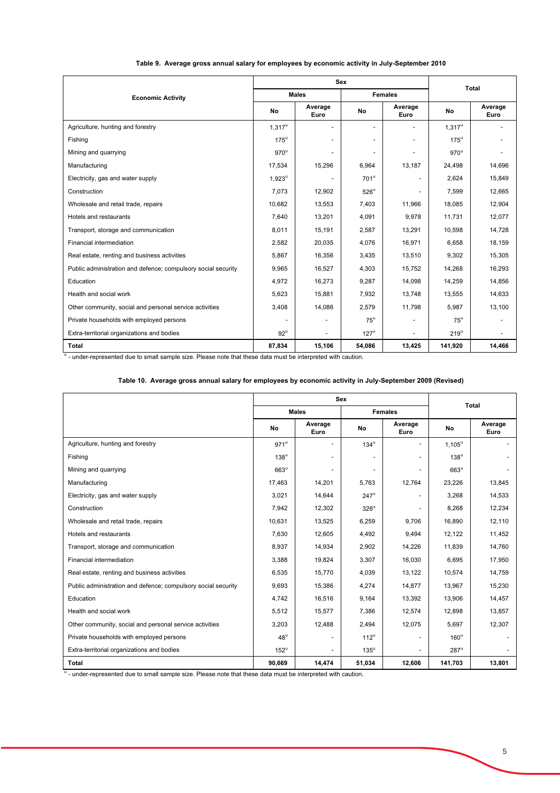|                                                               |                   | <b>Sex</b>      | <b>Total</b>             |                 |               |                          |
|---------------------------------------------------------------|-------------------|-----------------|--------------------------|-----------------|---------------|--------------------------|
| <b>Economic Activity</b>                                      |                   | <b>Males</b>    |                          | <b>Females</b>  |               |                          |
|                                                               | No                | Average<br>Euro | No                       | Average<br>Euro | No            | Average<br>Euro          |
| Agriculture, hunting and forestry                             | $1,317^u$         |                 | $\overline{\phantom{0}}$ |                 | $1,317^u$     | $\overline{\phantom{a}}$ |
| Fishing                                                       | $175^{\circ}$     | $\blacksquare$  | $\overline{\phantom{a}}$ |                 | $175^{\circ}$ | $\overline{\phantom{a}}$ |
| Mining and quarrying                                          | $970^{\circ}$     |                 | $\overline{\phantom{a}}$ |                 | $970^{\circ}$ | $\overline{\phantom{a}}$ |
| Manufacturing                                                 | 17,534            | 15,296          | 6,964                    | 13,187          | 24,498        | 14,696                   |
| Electricity, gas and water supply                             | $1,923^u$         |                 | $701^{\mathrm{u}}$       |                 | 2,624         | 15,849                   |
| Construction                                                  | 7,073             | 12,902          | $526^{\circ}$            |                 | 7,599         | 12,665                   |
| Wholesale and retail trade, repairs                           | 10.682            | 13,553          | 7.403                    | 11.966          | 18.085        | 12,904                   |
| Hotels and restaurants                                        | 7,640             | 13,201          | 4,091                    | 9,978           | 11,731        | 12,077                   |
| Transport, storage and communication                          | 8,011             | 15,191          | 2,587                    | 13,291          | 10.598        | 14,728                   |
| Financial intermediation                                      | 2,582             | 20,035          | 4,076                    | 16,971          | 6,658         | 18,159                   |
| Real estate, renting and business activities                  | 5,867             | 16,356          | 3,435                    | 13,510          | 9,302         | 15,305                   |
| Public administration and defence; compulsory social security | 9,965             | 16,527          | 4,303                    | 15,752          | 14,268        | 16,293                   |
| Education                                                     | 4,972             | 16,273          | 9,287                    | 14,098          | 14,259        | 14,856                   |
| Health and social work                                        | 5,623             | 15.881          | 7,932                    | 13.748          | 13,555        | 14,633                   |
| Other community, social and personal service activities       | 3,408             | 14,086          | 2,579                    | 11,798          | 5,987         | 13,100                   |
| Private households with employed persons                      |                   |                 | $75^{\circ}$             |                 | $75^{\circ}$  |                          |
| Extra-territorial organizations and bodies                    | $92^{\mathrm{u}}$ |                 | $127^{\mathrm{u}}$       |                 | $219^{\circ}$ |                          |
| Total                                                         | 87,834            | 15,106          | 54,086                   | 13,425          | 141,920       | 14,466                   |

### **Table 9. Average gross annual salary for employees by economic activity in July-September 2010**

<sup>u</sup> - under-represented due to small sample size. Please note that these data must be interpreted with caution.

### **Table 10. Average gross annual salary for employees by economic activity in July-September 2009 (Revised)**

|                                                               |                    | <b>Sex</b>               | Total              |                          |                    |                 |
|---------------------------------------------------------------|--------------------|--------------------------|--------------------|--------------------------|--------------------|-----------------|
|                                                               |                    | <b>Males</b>             |                    | <b>Females</b>           |                    |                 |
|                                                               | No                 | Average<br>Euro          | No                 | Average<br>Euro          | No                 | Average<br>Euro |
| Agriculture, hunting and forestry                             | $971^{\mathrm{u}}$ | $\blacksquare$           | $134^u$            |                          | $1,105^u$          |                 |
| Fishing                                                       | $138^{\mathrm{u}}$ |                          |                    |                          | $138^{\mathrm{u}}$ |                 |
| Mining and quarrying                                          | $663^{\mathrm{u}}$ |                          |                    |                          | $663^{\mathrm{u}}$ |                 |
| Manufacturing                                                 | 17,463             | 14,201                   | 5,763              | 12,764                   | 23,226             | 13,845          |
| Electricity, gas and water supply                             | 3,021              | 14,644                   | $247^u$            | $\overline{\phantom{0}}$ | 3.268              | 14,533          |
| Construction                                                  | 7,942              | 12,302                   | $326^u$            |                          | 8,268              | 12,234          |
| Wholesale and retail trade, repairs                           | 10,631             | 13,525                   | 6,259              | 9.706                    | 16,890             | 12.110          |
| Hotels and restaurants                                        | 7.630              | 12.605                   | 4.492              | 9.494                    | 12.122             | 11.452          |
| Transport, storage and communication                          | 8,937              | 14,934                   | 2,902              | 14,226                   | 11.839             | 14,760          |
| Financial intermediation                                      | 3,388              | 19,824                   | 3,307              | 16,030                   | 6,695              | 17,950          |
| Real estate, renting and business activities                  | 6,535              | 15,770                   | 4,039              | 13,122                   | 10,574             | 14,759          |
| Public administration and defence; compulsory social security | 9,693              | 15,386                   | 4,274              | 14,877                   | 13,967             | 15,230          |
| Education                                                     | 4,742              | 16,516                   | 9,164              | 13,392                   | 13,906             | 14,457          |
| Health and social work                                        | 5,512              | 15,577                   | 7,386              | 12,574                   | 12,898             | 13,857          |
| Other community, social and personal service activities       | 3,203              | 12,488                   | 2,494              | 12,075                   | 5,697              | 12,307          |
| Private households with employed persons                      | $48^{\mathrm{u}}$  | $\overline{\phantom{a}}$ | $112^u$            |                          | $160^{\circ}$      |                 |
| Extra-territorial organizations and bodies                    | $152^u$            | $\overline{a}$           | $135^{\mathrm{u}}$ |                          | $287^{\mathrm{u}}$ |                 |
| <b>Total</b>                                                  | 90,669             | 14,474                   | 51,034             | 12,606                   | 141,703            | 13,801          |

<sup>u</sup> - under-represented due to small sample size. Please note that these data must be interpreted with caution.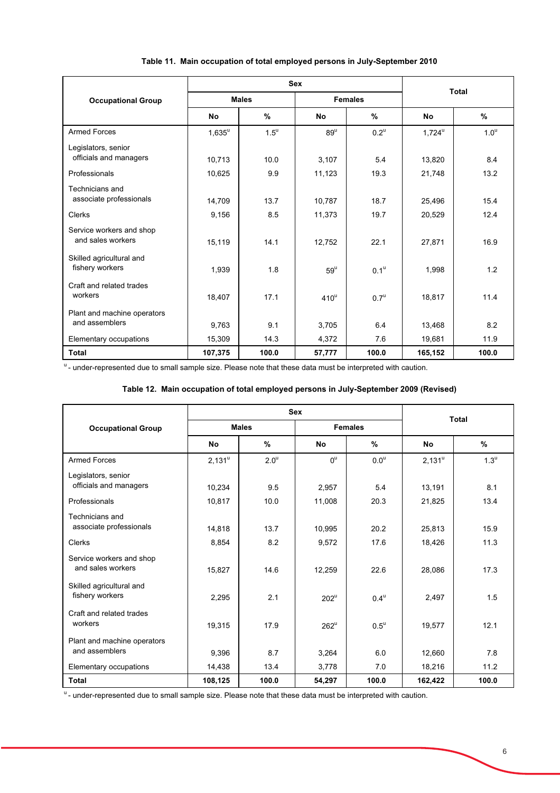|                                               |                 | <b>Sex</b>         | Total             |                    |                      |                  |  |
|-----------------------------------------------|-----------------|--------------------|-------------------|--------------------|----------------------|------------------|--|
| <b>Occupational Group</b>                     |                 | <b>Males</b>       |                   | <b>Females</b>     |                      |                  |  |
|                                               | <b>No</b>       | %                  | <b>No</b>         | %                  | <b>No</b>            | $\%$             |  |
| <b>Armed Forces</b>                           | $1,635^{\rm u}$ | $1.5^{\mathrm{u}}$ | $89^u$            | $0.2^{\mathrm{u}}$ | $1,724^{\mathrm{u}}$ | 1.0 <sup>u</sup> |  |
| Legislators, senior<br>officials and managers | 10,713          | 10.0               | 3,107             | 5.4                | 13,820               | 8.4              |  |
| Professionals                                 | 10,625          | 9.9                | 11,123            | 19.3               | 21,748               | 13.2             |  |
| Technicians and<br>associate professionals    | 14,709          | 13.7               | 10,787            | 18.7               | 25,496               | 15.4             |  |
| Clerks                                        | 9,156           | 8.5                | 11,373            | 19.7               | 20,529               | 12.4             |  |
| Service workers and shop<br>and sales workers | 15,119          | 14.1               | 12,752            | 22.1               | 27,871               | 16.9             |  |
| Skilled agricultural and<br>fishery workers   | 1,939           | 1.8                | $59^{\mathrm{u}}$ | $0.1^{\text{u}}$   | 1,998                | 1.2              |  |
| Craft and related trades<br>workers           | 18,407          | 17.1               | $410^u$           | 0.7 <sup>u</sup>   | 18,817               | 11.4             |  |
| Plant and machine operators<br>and assemblers | 9,763           | 9.1                | 3,705             | 6.4                | 13,468               | 8.2              |  |
| Elementary occupations                        | 15,309          | 14.3               | 4,372             | 7.6                | 19,681               | 11.9             |  |
| <b>Total</b>                                  | 107,375         | 100.0              | 57,777            | 100.0              | 165,152              | 100.0            |  |

# **Table 11. Main occupation of total employed persons in July-September 2010**

<sup>u</sup> - under-represented due to small sample size. Please note that these data must be interpreted with caution.

# **Table 12. Main occupation of total employed persons in July-September 2009 (Revised)**

|                                               |           | <b>Sex</b>         | <b>Total</b>     |                    |           |                    |  |
|-----------------------------------------------|-----------|--------------------|------------------|--------------------|-----------|--------------------|--|
| <b>Occupational Group</b>                     |           | <b>Males</b>       |                  | <b>Females</b>     |           |                    |  |
|                                               | No        | $\%$               | <b>No</b>        | %                  | <b>No</b> | %                  |  |
| <b>Armed Forces</b>                           | $2,131^u$ | $2.0^{\mathrm{u}}$ | $0^{\mathrm{u}}$ | $0.0^\mathrm{u}$   | $2,131^u$ | $1.3^{\mathrm{u}}$ |  |
| Legislators, senior<br>officials and managers | 10,234    | 9.5                | 2,957            | 5.4                | 13,191    | 8.1                |  |
| Professionals                                 | 10,817    | 10.0               | 11,008           | 20.3               | 21,825    | 13.4               |  |
| Technicians and<br>associate professionals    | 14,818    | 13.7               | 10,995           | 20.2               | 25,813    | 15.9               |  |
| Clerks                                        | 8,854     | 8.2                | 9,572            | 17.6               | 18,426    | 11.3               |  |
| Service workers and shop<br>and sales workers | 15,827    | 14.6               | 12,259           | 22.6               | 28,086    | 17.3               |  |
| Skilled agricultural and<br>fishery workers   | 2,295     | 2.1                | $202^u$          | $0.4^{\mathrm{u}}$ | 2,497     | 1.5                |  |
| Craft and related trades<br>workers           | 19,315    | 17.9               | $262^u$          | $0.5^{\mathrm{u}}$ | 19,577    | 12.1               |  |
| Plant and machine operators<br>and assemblers | 9,396     | 8.7                | 3,264            | 6.0                | 12,660    | 7.8                |  |
| Elementary occupations                        | 14,438    | 13.4               | 3,778            | 7.0                | 18,216    | 11.2               |  |
| <b>Total</b>                                  | 108,125   | 100.0              | 54,297           | 100.0              | 162,422   | 100.0              |  |

<sup>u</sup>- under-represented due to small sample size. Please note that these data must be interpreted with caution.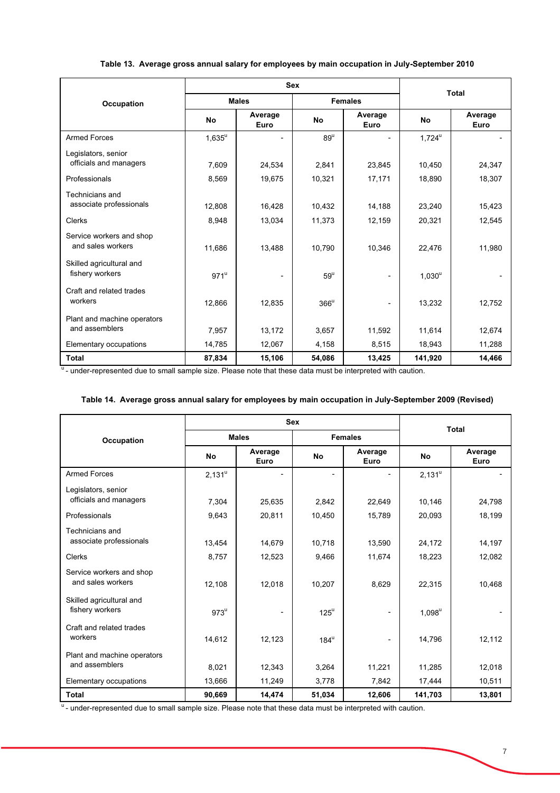|  | Table 13. Average gross annual salary for employees by main occupation in July-September 2010 |  |
|--|-----------------------------------------------------------------------------------------------|--|
|  |                                                                                               |  |

|                                               |           | <b>Sex</b>      | <b>Total</b>      |                 |           |                 |
|-----------------------------------------------|-----------|-----------------|-------------------|-----------------|-----------|-----------------|
| Occupation                                    |           | <b>Males</b>    |                   | <b>Females</b>  |           |                 |
|                                               | <b>No</b> | Average<br>Euro | <b>No</b>         | Average<br>Euro | <b>No</b> | Average<br>Euro |
| <b>Armed Forces</b>                           | $1,635^u$ |                 | $89^u$            |                 | $1,724^u$ |                 |
| Legislators, senior<br>officials and managers | 7,609     | 24,534          | 2,841             | 23,845          | 10,450    | 24,347          |
| Professionals                                 | 8,569     | 19,675          | 10,321            | 17,171          | 18,890    | 18,307          |
| Technicians and<br>associate professionals    | 12,808    | 16,428          | 10,432            | 14,188          | 23,240    | 15,423          |
| <b>Clerks</b>                                 | 8,948     | 13,034          | 11,373            | 12,159          | 20,321    | 12,545          |
| Service workers and shop<br>and sales workers | 11,686    | 13,488          | 10,790            | 10,346          | 22,476    | 11,980          |
| Skilled agricultural and<br>fishery workers   | $971^u$   |                 | $59^{\mathrm{u}}$ | -               | $1,030^u$ |                 |
| Craft and related trades<br>workers           | 12,866    | 12,835          | $366^u$           | -               | 13,232    | 12,752          |
| Plant and machine operators<br>and assemblers | 7,957     | 13,172          | 3,657             | 11,592          | 11,614    | 12,674          |
| Elementary occupations                        | 14,785    | 12,067          | 4,158             | 8,515           | 18,943    | 11,288          |
| <b>Total</b>                                  | 87,834    | 15,106          | 54,086            | 13,425          | 141,920   | 14,466          |

<sup>u</sup> - under-represented due to small sample size. Please note that these data must be interpreted with caution.

| Table 14. Average gross annual salary for employees by main occupation in July-September 2009 (Revised) |  |
|---------------------------------------------------------------------------------------------------------|--|
|---------------------------------------------------------------------------------------------------------|--|

|                                               |           | <b>Sex</b>                     | <b>Total</b> |                 |           |                 |  |
|-----------------------------------------------|-----------|--------------------------------|--------------|-----------------|-----------|-----------------|--|
| <b>Occupation</b>                             |           | <b>Males</b><br><b>Females</b> |              |                 |           |                 |  |
|                                               | <b>No</b> | Average<br>Euro                | <b>No</b>    | Average<br>Euro | <b>No</b> | Average<br>Euro |  |
| <b>Armed Forces</b>                           | $2,131^u$ |                                |              |                 | $2,131^u$ |                 |  |
| Legislators, senior<br>officials and managers | 7,304     | 25,635                         | 2,842        | 22,649          | 10,146    | 24,798          |  |
| Professionals                                 | 9,643     | 20,811                         | 10,450       | 15,789          | 20,093    | 18,199          |  |
| Technicians and<br>associate professionals    | 13,454    | 14,679                         | 10,718       | 13,590          | 24,172    | 14,197          |  |
| Clerks                                        | 8,757     | 12,523                         | 9,466        | 11,674          | 18,223    | 12,082          |  |
| Service workers and shop<br>and sales workers | 12,108    | 12,018                         | 10,207       | 8,629           | 22,315    | 10,468          |  |
| Skilled agricultural and<br>fishery workers   | $973^u$   |                                | $125^u$      |                 | $1,098^u$ |                 |  |
| Craft and related trades<br>workers           | 14,612    | 12,123                         | $184^u$      |                 | 14,796    | 12,112          |  |
| Plant and machine operators<br>and assemblers | 8,021     | 12,343                         | 3,264        | 11,221          | 11,285    | 12,018          |  |
| Elementary occupations                        | 13,666    | 11,249                         | 3,778        | 7,842           | 17,444    | 10,511          |  |
| <b>Total</b>                                  | 90,669    | 14,474                         | 51,034       | 12,606          | 141,703   | 13,801          |  |

u<br>under-represented due to small sample size. Please note that these data must be interpreted with caution.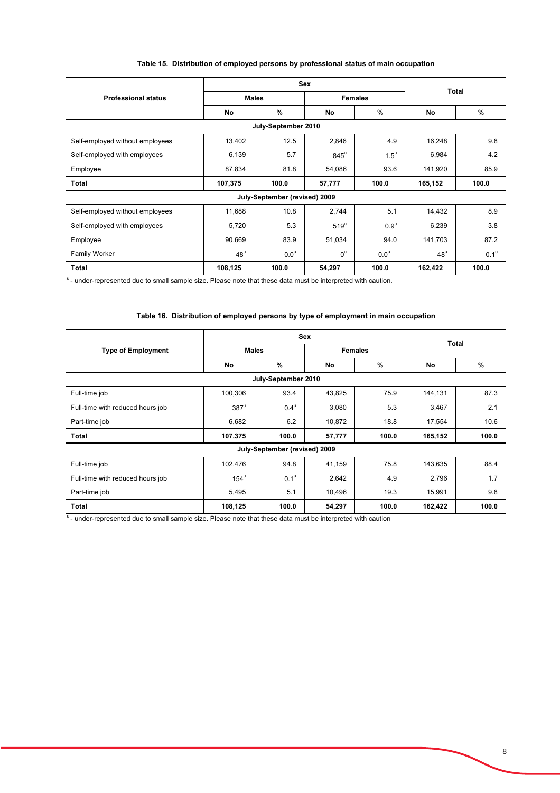|                                 | <b>Sex</b>   |                               |                  |                    | <b>Total</b>      |             |  |
|---------------------------------|--------------|-------------------------------|------------------|--------------------|-------------------|-------------|--|
| <b>Professional status</b>      | <b>Males</b> |                               |                  | <b>Females</b>     |                   |             |  |
|                                 | No           | %                             | No               | %                  | No                | %           |  |
| July-September 2010             |              |                               |                  |                    |                   |             |  |
| Self-employed without employees | 13,402       | 12.5                          | 2,846            | 4.9                | 16,248            | 9.8         |  |
| Self-employed with employees    | 6,139        | 5.7                           | $845^{\circ}$    | $1.5^{\mathrm{u}}$ | 6,984             | 4.2         |  |
| Employee                        | 87,834       | 81.8                          | 54,086           | 93.6               | 141,920           | 85.9        |  |
| <b>Total</b>                    | 107,375      | 100.0                         | 57,777           | 100.0              | 165,152           | 100.0       |  |
|                                 |              | July-September (revised) 2009 |                  |                    |                   |             |  |
| Self-employed without employees | 11,688       | 10.8                          | 2,744            | 5.1                | 14,432            | 8.9         |  |
| Self-employed with employees    | 5,720        | 5.3                           | $519^{\circ}$    | $0.9^{\mathrm{u}}$ | 6,239             | 3.8         |  |
| Employee                        | 90,669       | 83.9                          | 51,034           | 94.0               | 141,703           | 87.2        |  |
| Family Worker                   | $48^{\circ}$ | $0.0^{\circ}$                 | $0^{\mathrm{u}}$ | $0.0^{\circ}$      | $48^{\mathrm{u}}$ | $0.1^\circ$ |  |
| <b>Total</b>                    | 108,125      | 100.0                         | 54,297           | 100.0              | 162,422           | 100.0       |  |

### **Table 15. Distribution of employed persons by professional status of main occupation**

u<br>under-represented due to small sample size. Please note that these data must be interpreted with caution.

# **Table 16. Distribution of employed persons by type of employment in main occupation**

|                                  | <b>Sex</b>    |                               |                |       | <b>Total</b> |               |  |
|----------------------------------|---------------|-------------------------------|----------------|-------|--------------|---------------|--|
| <b>Type of Employment</b>        | <b>Males</b>  |                               | <b>Females</b> |       |              |               |  |
|                                  | No            | %                             | No             | $\%$  | No           | $\frac{9}{6}$ |  |
| July-September 2010              |               |                               |                |       |              |               |  |
| Full-time job                    | 100,306       | 93.4                          | 43,825         | 75.9  | 144,131      | 87.3          |  |
| Full-time with reduced hours job | $387^u$       | $0.4^{\mathrm{u}}$            | 3,080          | 5.3   | 3,467        | 2.1           |  |
| Part-time job                    | 6,682         | 6.2                           | 10,872         | 18.8  | 17,554       | 10.6          |  |
| Total                            | 107,375       | 100.0                         | 57,777         | 100.0 | 165,152      | 100.0         |  |
|                                  |               | July-September (revised) 2009 |                |       |              |               |  |
| Full-time job                    | 102,476       | 94.8                          | 41,159         | 75.8  | 143,635      | 88.4          |  |
| Full-time with reduced hours job | $154^{\circ}$ | 0.1 <sup>u</sup>              | 2,642          | 4.9   | 2,796        | 1.7           |  |
| Part-time job                    | 5,495         | 5.1                           | 10,496         | 19.3  | 15,991       | 9.8           |  |
| <b>Total</b>                     | 108,125       | 100.0                         | 54,297         | 100.0 | 162,422      | 100.0         |  |

u<sub>-</sub> under-represented due to small sample size. Please note that these data must be interpreted with caution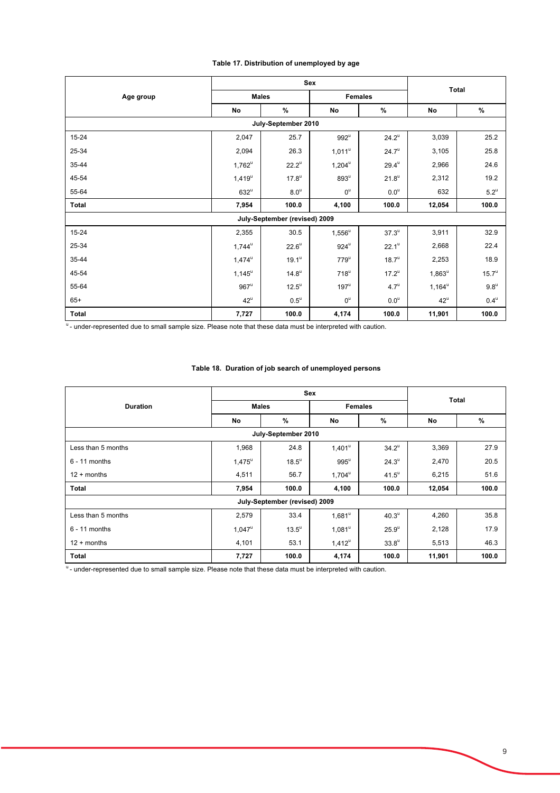### **Table 17. Distribution of unemployed by age**

|                     | Sex                  |                               |                      |                     | <b>Total</b>      |                    |  |
|---------------------|----------------------|-------------------------------|----------------------|---------------------|-------------------|--------------------|--|
| Age group           | <b>Males</b>         |                               | <b>Females</b>       |                     |                   |                    |  |
|                     | No                   | %                             | No                   | $\%$                | No                | %                  |  |
| July-September 2010 |                      |                               |                      |                     |                   |                    |  |
| $15 - 24$           | 2,047                | 25.7                          | $992^u$              | $24.2^{\circ}$      | 3,039             | 25.2               |  |
| 25-34               | 2,094                | 26.3                          | $1,011^u$            | $24.7^{\circ}$      | 3,105             | 25.8               |  |
| 35-44               | $1,762^u$            | $22.2^{\circ}$                | $1,204^{\mathrm{u}}$ | $29.4^{\mathrm{u}}$ | 2,966             | 24.6               |  |
| 45-54               | $1,419^u$            | $17.8^{\circ}$                | $893^u$              | $21.8^u$            | 2,312             | 19.2               |  |
| 55-64               | $632^u$              | 8.0 <sup>u</sup>              | $0^{\mathrm{u}}$     | $0.0^u$             | 632               | $5.2^u$            |  |
| Total               | 7,954                | 100.0                         | 4,100                | 100.0               | 12,054            | 100.0              |  |
|                     |                      | July-September (revised) 2009 |                      |                     |                   |                    |  |
| $15 - 24$           | 2,355                | 30.5                          | $1,556^u$            | $37.3^{\mathrm{u}}$ | 3,911             | 32.9               |  |
| 25-34               | $1,744^{\mathrm{u}}$ | $22.6^{\circ}$                | $924^u$              | $22.1^u$            | 2,668             | 22.4               |  |
| 35-44               | $1,474^{\mathrm{u}}$ | $19.1^{\mathrm{u}}$           | $779^u$              | $18.7^{\mathrm{u}}$ | 2,253             | 18.9               |  |
| 45-54               | $1,145^{\mathrm{u}}$ | $14.8^\circ$                  | $718^u$              | $17.2^{\mathrm{u}}$ | $1,863^u$         | 15.7 <sup>u</sup>  |  |
| 55-64               | $967^u$              | $12.5^{\circ}$                | $197^{\mathrm{u}}$   | $4.7^{\circ}$       | $1,164^{\circ}$   | $9.8^{\mathrm{u}}$ |  |
| $65+$               | $42^{\circ}$         | $0.5^{\mathrm{u}}$            | $0^{\text{u}}$       | $0.0^u$             | $42^{\mathrm{u}}$ | $0.4^{\mathrm{u}}$ |  |
| Total               | 7,727                | 100.0                         | 4,174                | 100.0               | 11,901            | 100.0              |  |

under-represented due to small sample size. Please note that these data must be interpreted with caution.

### **Table 18. Duration of job search of unemployed persons**

|                     | <b>Sex</b>      |                               |                      |                     | <b>Total</b> |       |  |
|---------------------|-----------------|-------------------------------|----------------------|---------------------|--------------|-------|--|
| <b>Duration</b>     | <b>Males</b>    |                               | <b>Females</b>       |                     |              |       |  |
|                     | No              | $\%$                          | No                   | %                   | No           | $\%$  |  |
| July-September 2010 |                 |                               |                      |                     |              |       |  |
| Less than 5 months  | 1,968           | 24.8                          | 1,401 <sup>u</sup>   | $34.2^{\mathrm{u}}$ | 3,369        | 27.9  |  |
| $6 - 11$ months     | $1,475^{\circ}$ | $18.5^{\circ}$                | $995^{\mathrm{u}}$   | $24.3^{\circ}$      | 2,470        | 20.5  |  |
| $12 +$ months       | 4,511           | 56.7                          | $1,704^{\mathrm{u}}$ | $41.5^{\circ}$      | 6,215        | 51.6  |  |
| Total               | 7,954           | 100.0                         | 4,100                | 100.0               | 12,054       | 100.0 |  |
|                     |                 | July-September (revised) 2009 |                      |                     |              |       |  |
| Less than 5 months  | 2,579           | 33.4                          | $1,681^{\circ}$      | 40.3 <sup>u</sup>   | 4,260        | 35.8  |  |
| $6 - 11$ months     | $1,047^u$       | $13.5^{\circ}$                | $1,081^u$            | $25.9^{\circ}$      | 2,128        | 17.9  |  |
| $12 +$ months       | 4,101           | 53.1                          | $1,412^u$            | $33.8^{\circ}$      | 5,513        | 46.3  |  |
| Total               | 7,727           | 100.0                         | 4,174                | 100.0               | 11,901       | 100.0 |  |

u- under-represented due to small sample size. Please note that these data must be interpreted with caution.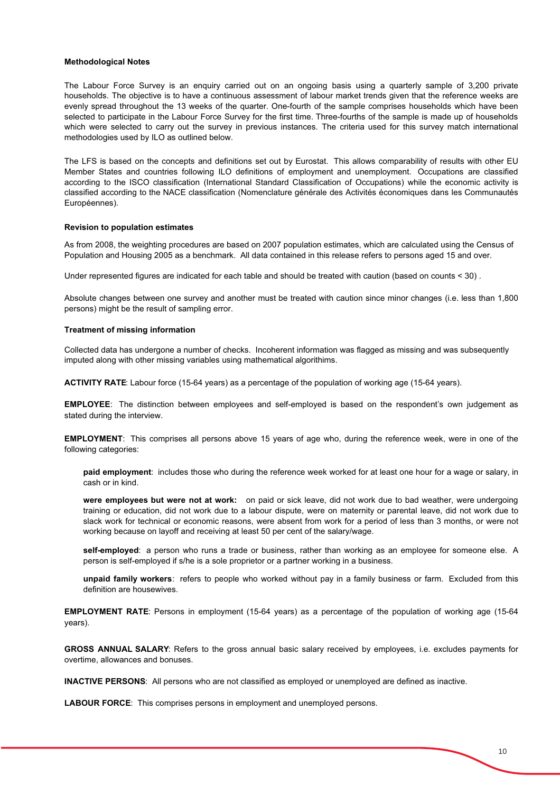#### **Methodological Notes**

The Labour Force Survey is an enquiry carried out on an ongoing basis using a quarterly sample of 3,200 private households. The objective is to have a continuous assessment of labour market trends given that the reference weeks are evenly spread throughout the 13 weeks of the quarter. One-fourth of the sample comprises households which have been selected to participate in the Labour Force Survey for the first time. Three-fourths of the sample is made up of households which were selected to carry out the survey in previous instances. The criteria used for this survey match international methodologies used by ILO as outlined below.

The LFS is based on the concepts and definitions set out by Eurostat. This allows comparability of results with other EU Member States and countries following ILO definitions of employment and unemployment. Occupations are classified according to the ISCO classification (International Standard Classification of Occupations) while the economic activity is classified according to the NACE classification (Nomenclature générale des Activités économiques dans les Communautés Européennes).

#### **Revision to population estimates**

As from 2008, the weighting procedures are based on 2007 population estimates, which are calculated using the Census of Population and Housing 2005 as a benchmark. All data contained in this release refers to persons aged 15 and over.

Under represented figures are indicated for each table and should be treated with caution (based on counts < 30) .

Absolute changes between one survey and another must be treated with caution since minor changes (i.e. less than 1,800 persons) might be the result of sampling error.

#### **Treatment of missing information**

Collected data has undergone a number of checks. Incoherent information was flagged as missing and was subsequently imputed along with other missing variables using mathematical algorithims.

**ACTIVITY RATE**: Labour force (15-64 years) as a percentage of the population of working age (15-64 years).

**EMPLOYEE**: The distinction between employees and self-employed is based on the respondent's own judgement as stated during the interview.

**EMPLOYMENT**: This comprises all persons above 15 years of age who, during the reference week, were in one of the following categories:

**paid employment**: includes those who during the reference week worked for at least one hour for a wage or salary, in cash or in kind.

**were employees but were not at work:** on paid or sick leave, did not work due to bad weather, were undergoing training or education, did not work due to a labour dispute, were on maternity or parental leave, did not work due to slack work for technical or economic reasons, were absent from work for a period of less than 3 months, or were not working because on layoff and receiving at least 50 per cent of the salary/wage.

 person is self-employed if s/he is a sole proprietor or a partner working in a business. **self-employed**: a person who runs a trade or business, rather than working as an employee for someone else. A

**unpaid family workers**: refers to people who worked without pay in a family business or farm. Excluded from this definition are housewives.

**EMPLOYMENT RATE**: Persons in employment (15-64 years) as a percentage of the population of working age (15-64 years).

**GROSS ANNUAL SALARY**: Refers to the gross annual basic salary received by employees, i.e. excludes payments for overtime, allowances and bonuses.

**INACTIVE PERSONS**: All persons who are not classified as employed or unemployed are defined as inactive.

**LABOUR FORCE**: This comprises persons in employment and unemployed persons.